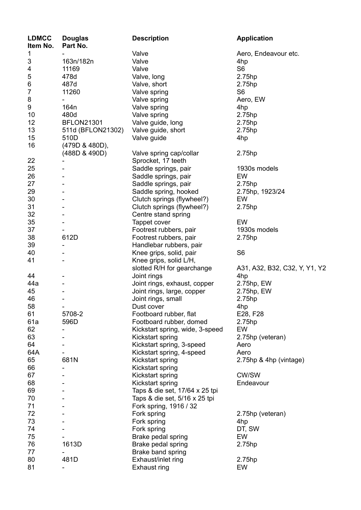| <b>LDMCC</b><br>Item No. | <b>Douglas</b><br>Part No. | <b>Description</b>                                  | <b>Application</b>            |
|--------------------------|----------------------------|-----------------------------------------------------|-------------------------------|
| 1                        |                            | Valve                                               | Aero, Endeavour etc.          |
| 3                        | 163n/182n                  | Valve                                               | 4hp                           |
| 4                        | 11169                      | Valve                                               | S <sub>6</sub>                |
| 5                        | 478d                       | Valve, long                                         | 2.75hp                        |
| 6                        | 487d                       | Valve, short                                        | 2.75hp                        |
| $\overline{7}$           | 11260                      | Valve spring                                        | S <sub>6</sub>                |
| 8                        |                            | Valve spring                                        | Aero, EW                      |
| 9                        | 164 <sub>n</sub>           | Valve spring                                        | 4hp                           |
| 10                       | 480d                       | Valve spring                                        | 2.75hp                        |
| 12                       | <b>BFLON21301</b>          | Valve guide, long                                   | 2.75hp                        |
| 13                       | 511d (BFLON21302)          | Valve guide, short                                  | 2.75hp                        |
| 15                       | 510D                       | Valve guide                                         | 4hp                           |
| 16                       | (479D & 480D),             |                                                     |                               |
|                          | (488D & 490D)              | Valve spring cap/collar                             | 2.75hp                        |
| 22                       |                            | Sprocket, 17 teeth                                  |                               |
| 25                       |                            | Saddle springs, pair                                | 1930s models                  |
| 26                       |                            | Saddle springs, pair                                | EW                            |
| 27                       |                            | Saddle springs, pair                                | 2.75hp                        |
| 29                       |                            |                                                     |                               |
| 30                       |                            | Saddle spring, hooked<br>Clutch springs (flywheel?) | 2.75hp, 1923/24<br>EW         |
|                          |                            |                                                     |                               |
| 31                       |                            | Clutch springs (flywheel?)                          | 2.75hp                        |
| 32                       |                            | Centre stand spring                                 |                               |
| 35                       |                            | Tappet cover                                        | EW                            |
| 37                       |                            | Footrest rubbers, pair                              | 1930s models                  |
| 38                       | 612D                       | Footrest rubbers, pair                              | 2.75hp                        |
| 39                       | -                          | Handlebar rubbers, pair                             |                               |
| 40                       |                            | Knee grips, solid, pair                             | S <sub>6</sub>                |
| 41                       |                            | Knee grips, solid L/H,                              |                               |
|                          |                            | slotted R/H for gearchange                          | A31, A32, B32, C32, Y, Y1, Y2 |
| 44                       |                            | Joint rings                                         | 4hp                           |
| 44a                      |                            | Joint rings, exhaust, copper                        | 2.75hp, EW                    |
| 45                       |                            | Joint rings, large, copper                          | 2.75hp, EW                    |
| 46                       | $\blacksquare$             | Joint rings, small                                  | 2.75hp                        |
| 58                       |                            | Dust cover                                          | 4hp                           |
| 61                       | 5708-2                     | Footboard rubber, flat                              | E28, F28                      |
| 61a                      | 596D                       | Footboard rubber, domed                             | 2.75hp                        |
| 62                       |                            | Kickstart spring, wide, 3-speed                     | EW                            |
| 63                       |                            | Kickstart spring                                    | 2.75hp (veteran)              |
| 64                       |                            | Kickstart spring, 3-speed                           | Aero                          |
| 64A                      |                            | Kickstart spring, 4-speed                           | Aero                          |
| 65                       | 681N                       | Kickstart spring                                    | 2.75hp & 4hp (vintage)        |
| 66                       |                            | Kickstart spring                                    |                               |
| 67                       |                            | Kickstart spring                                    | <b>CW/SW</b>                  |
| 68                       |                            | Kickstart spring                                    | Endeavour                     |
| 69                       |                            | Taps & die set, 17/64 x 25 tpi                      |                               |
| 70                       |                            | Taps & die set, 5/16 x 25 tpi                       |                               |
| 71                       |                            | Fork spring, 1916 / 32                              |                               |
| 72                       |                            | Fork spring                                         | 2.75hp (veteran)              |
| 73                       |                            | Fork spring                                         | 4hp                           |
| 74                       |                            | Fork spring                                         | DT, SW                        |
| 75                       |                            | Brake pedal spring                                  | EW                            |
| 76                       | 1613D                      | Brake pedal spring                                  | 2.75hp                        |
| 77                       |                            | Brake band spring                                   |                               |
| 80                       | 481D                       | Exhaust/inlet ring                                  | 2.75hp                        |
| 81                       |                            | Exhaust ring                                        | EW                            |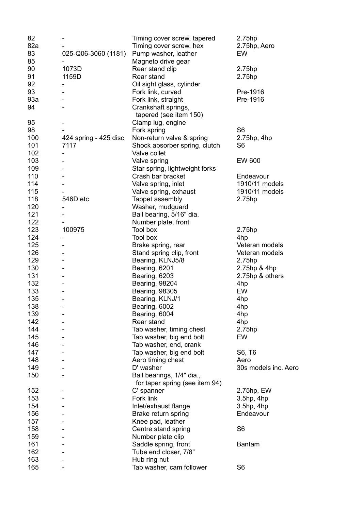| 82  |                       | Timing cover screw, tapered                                 | 2.75hp               |
|-----|-----------------------|-------------------------------------------------------------|----------------------|
| 82a |                       | Timing cover screw, hex                                     | 2.75hp, Aero         |
| 83  | 025-Q06-3060 (1181)   | Pump washer, leather                                        | <b>EW</b>            |
| 85  |                       | Magneto drive gear                                          |                      |
| 90  | 1073D                 | Rear stand clip                                             | 2.75hp               |
| 91  | 1159D                 | Rear stand                                                  | 2.75hp               |
| 92  |                       | Oil sight glass, cylinder                                   |                      |
| 93  |                       | Fork link, curved                                           | Pre-1916             |
| 93a |                       | Fork link, straight                                         | Pre-1916             |
| 94  |                       | Crankshaft springs,                                         |                      |
|     |                       | tapered (see item 150)                                      |                      |
| 95  |                       | Clamp lug, engine                                           |                      |
| 98  |                       | Fork spring                                                 | S <sub>6</sub>       |
| 100 | 424 spring - 425 disc | Non-return valve & spring                                   | $2.75$ hp, 4hp       |
| 101 | 7117                  | Shock absorber spring, clutch                               | S <sub>6</sub>       |
| 102 |                       | Valve collet                                                |                      |
| 103 |                       | Valve spring                                                | EW 600               |
| 109 |                       | Star spring, lightweight forks                              |                      |
| 110 |                       | Crash bar bracket                                           | Endeavour            |
| 114 |                       | Valve spring, inlet                                         | 1910/11 models       |
| 115 |                       | Valve spring, exhaust                                       | 1910/11 models       |
| 118 | 546D etc              |                                                             |                      |
| 120 |                       | Tappet assembly<br>Washer, mudguard                         | 2.75hp               |
| 121 |                       |                                                             |                      |
| 122 |                       | Ball bearing, 5/16" dia.                                    |                      |
|     |                       | Number plate, front<br>Tool box                             |                      |
| 123 | 100975                |                                                             | 2.75hp               |
| 124 |                       | Tool box                                                    | 4hp                  |
| 125 |                       | Brake spring, rear                                          | Veteran models       |
| 126 |                       | Stand spring clip, front                                    | Veteran models       |
| 129 |                       | Bearing, KLNJ5/8                                            | 2.75hp               |
| 130 |                       | Bearing, 6201                                               | 2.75hp & 4hp         |
| 131 |                       | Bearing, 6203                                               | 2.75hp & others      |
| 132 |                       | <b>Bearing, 98204</b>                                       | 4hp                  |
| 133 |                       | <b>Bearing, 98305</b>                                       | EW                   |
| 135 |                       | Bearing, KLNJ/1                                             | 4hp                  |
| 138 |                       | Bearing, 6002                                               | 4hp                  |
| 139 |                       | Bearing, 6004                                               | 4hp                  |
| 142 |                       | Rear stand                                                  | 4hp                  |
| 144 |                       | Tab washer, timing chest                                    | 2.75hp               |
| 145 |                       | Tab washer, big end bolt                                    | EW                   |
| 146 |                       | Tab washer, end, crank                                      |                      |
| 147 |                       | Tab washer, big end bolt                                    | S6, T6               |
| 148 |                       | Aero timing chest                                           | Aero                 |
| 149 |                       | D' washer                                                   | 30s models inc. Aero |
| 150 |                       | Ball bearings, 1/4" dia.,<br>for taper spring (see item 94) |                      |
| 152 |                       | C' spanner                                                  | 2.75hp, EW           |
| 153 |                       | Fork link                                                   | $3.5$ hp, $4$ hp     |
| 154 |                       | Inlet/exhaust flange                                        | $3.5$ hp, $4$ hp     |
| 156 |                       | Brake return spring                                         | Endeavour            |
| 157 |                       | Knee pad, leather                                           |                      |
| 158 |                       | Centre stand spring                                         | S <sub>6</sub>       |
| 159 |                       | Number plate clip                                           |                      |
| 161 |                       | Saddle spring, front                                        | <b>Bantam</b>        |
| 162 |                       | Tube end closer, 7/8"                                       |                      |
| 163 |                       | Hub ring nut                                                |                      |
| 165 |                       | Tab washer, cam follower                                    | S <sub>6</sub>       |
|     |                       |                                                             |                      |